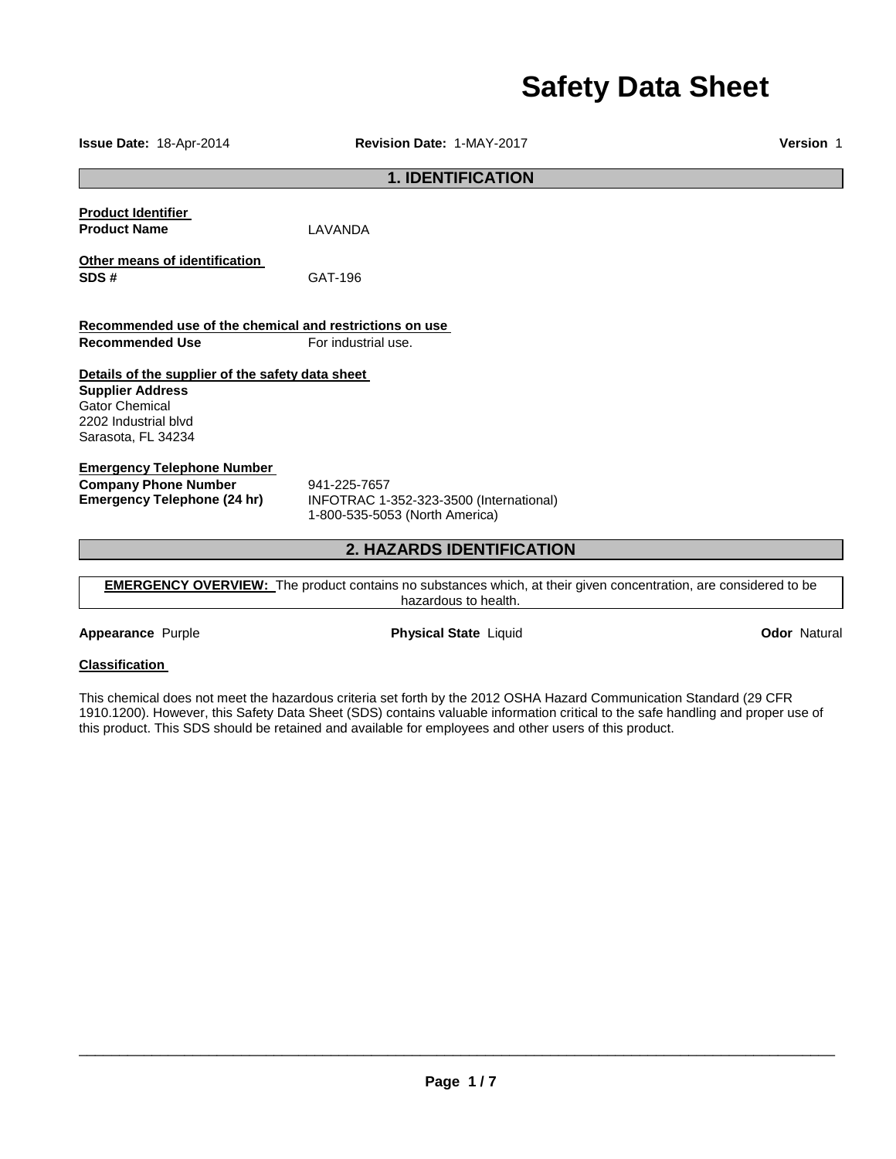# **Safety Data Sheet**

**1. IDENTIFICATION Product Identifier Product Name LAVANDA Other means of identification SDS #** GAT-196 **Recommended use of the chemical and restrictions on use Recommended Use For industrial use. Details of the supplier of the safety data sheet Supplier Address** Gator Chemical 2202 Industrial blvd Sarasota, FL 34234 **Emergency Telephone Number Company Phone Number** 941-225-7657<br>**Emergency Telephone (24 hr)** INFOTRAC 1-**Emergency Telephone (24 hr)** INFOTRAC 1-352-323-3500 (International) 1-800-535-5053 (North America) **2. HAZARDS IDENTIFICATION** 

**EMERGENCY OVERVIEW:** The product contains no substances which, at their given concentration, are considered to be hazardous to health.

**Appearance** Purple **Physical State** Liquid **Odor** Natural

# **Classification**

This chemical does not meet the hazardous criteria set forth by the 2012 OSHA Hazard Communication Standard (29 CFR 1910.1200). However, this Safety Data Sheet (SDS) contains valuable information critical to the safe handling and proper use of this product. This SDS should be retained and available for employees and other users of this product.

\_\_\_\_\_\_\_\_\_\_\_\_\_\_\_\_\_\_\_\_\_\_\_\_\_\_\_\_\_\_\_\_\_\_\_\_\_\_\_\_\_\_\_\_\_\_\_\_\_\_\_\_\_\_\_\_\_\_\_\_\_\_\_\_\_\_\_\_\_\_\_\_\_\_\_\_\_\_\_\_\_\_\_\_\_\_\_\_\_\_\_\_\_

**Issue Date:** 18-Apr-2014 **Revision Date:** 1-MAY-2017 **Version** 1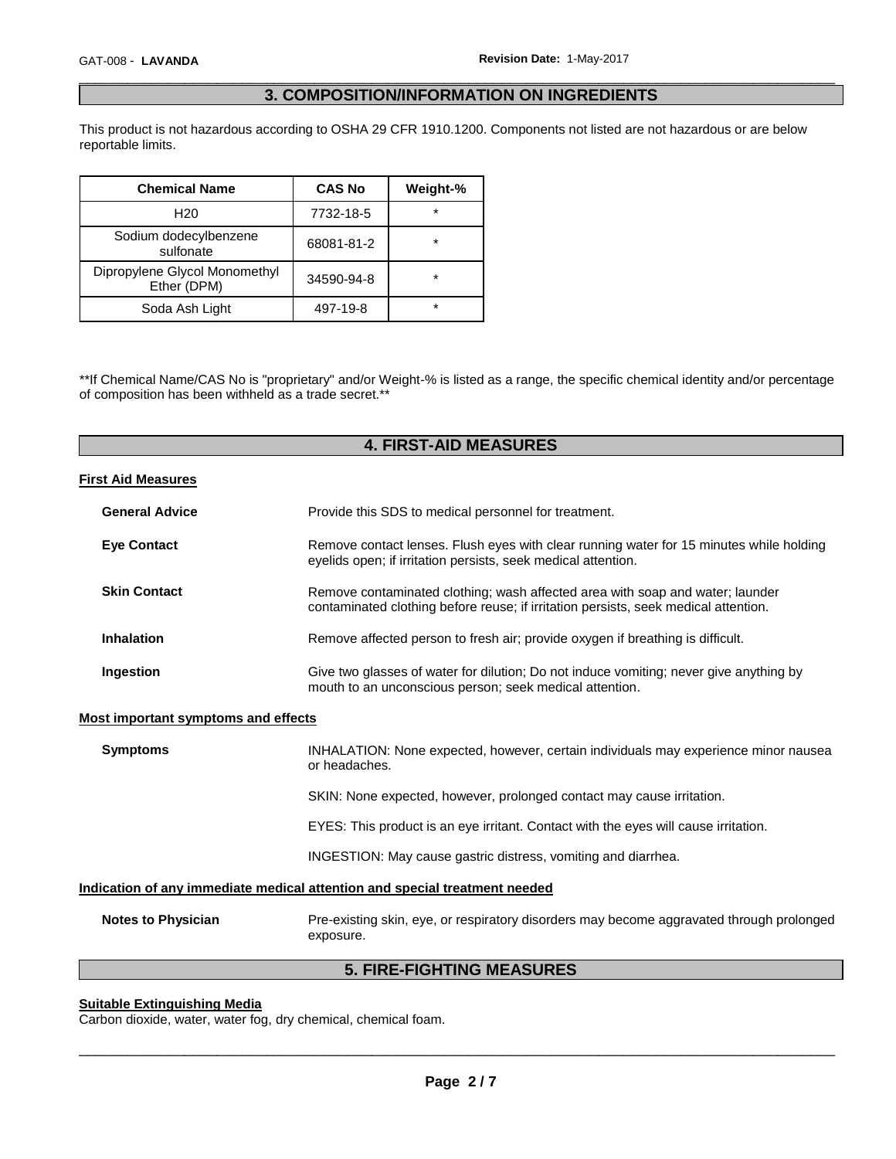# \_\_\_\_\_\_\_\_\_\_\_\_\_\_\_\_\_\_\_\_\_\_\_\_\_\_\_\_\_\_\_\_\_\_\_\_\_\_\_\_\_\_\_\_\_\_\_\_\_\_\_\_\_\_\_\_\_\_\_\_\_\_\_\_\_\_\_\_\_\_\_\_\_\_\_\_\_\_\_\_\_\_\_\_\_\_\_\_\_\_\_\_\_ **3. COMPOSITION/INFORMATION ON INGREDIENTS**

This product is not hazardous according to OSHA 29 CFR 1910.1200. Components not listed are not hazardous or are below reportable limits.

| <b>Chemical Name</b>                         | <b>CAS No</b> | Weight-% |
|----------------------------------------------|---------------|----------|
| H <sub>20</sub>                              | 7732-18-5     | $\star$  |
| Sodium dodecylbenzene<br>sulfonate           | 68081-81-2    | $\star$  |
| Dipropylene Glycol Monomethyl<br>Ether (DPM) | 34590-94-8    | $\star$  |
| Soda Ash Light                               | 497-19-8      | $\star$  |

\*\*If Chemical Name/CAS No is "proprietary" and/or Weight-% is listed as a range, the specific chemical identity and/or percentage of composition has been withheld as a trade secret.\*\*

# **4. FIRST-AID MEASURES**

## **First Aid Measures**

| <b>General Advice</b> | Provide this SDS to medical personnel for treatment.                                                                                                                 |
|-----------------------|----------------------------------------------------------------------------------------------------------------------------------------------------------------------|
| <b>Eye Contact</b>    | Remove contact lenses. Flush eyes with clear running water for 15 minutes while holding<br>eyelids open; if irritation persists, seek medical attention.             |
| <b>Skin Contact</b>   | Remove contaminated clothing; wash affected area with soap and water; launder<br>contaminated clothing before reuse; if irritation persists, seek medical attention. |
| <b>Inhalation</b>     | Remove affected person to fresh air; provide oxygen if breathing is difficult.                                                                                       |
| Ingestion             | Give two glasses of water for dilution; Do not induce vomiting; never give anything by<br>mouth to an unconscious person; seek medical attention.                    |

## **Most important symptoms and effects**

| <b>Symptoms</b>                                                            | INHALATION: None expected, however, certain individuals may experience minor nausea<br>or headaches. |  |
|----------------------------------------------------------------------------|------------------------------------------------------------------------------------------------------|--|
|                                                                            | SKIN: None expected, however, prolonged contact may cause irritation.                                |  |
|                                                                            | EYES: This product is an eye irritant. Contact with the eyes will cause irritation.                  |  |
|                                                                            | INGESTION: May cause gastric distress, vomiting and diarrhea.                                        |  |
| Indication of any immediate medical attention and special treatment needed |                                                                                                      |  |

| Notes to Physician | Pre-existing skin, eye, or respiratory disorders may become aggravated through prolonged |
|--------------------|------------------------------------------------------------------------------------------|
|                    | exposure.                                                                                |

# **5. FIRE-FIGHTING MEASURES**

# **Suitable Extinguishing Media**

Carbon dioxide, water, water fog, dry chemical, chemical foam.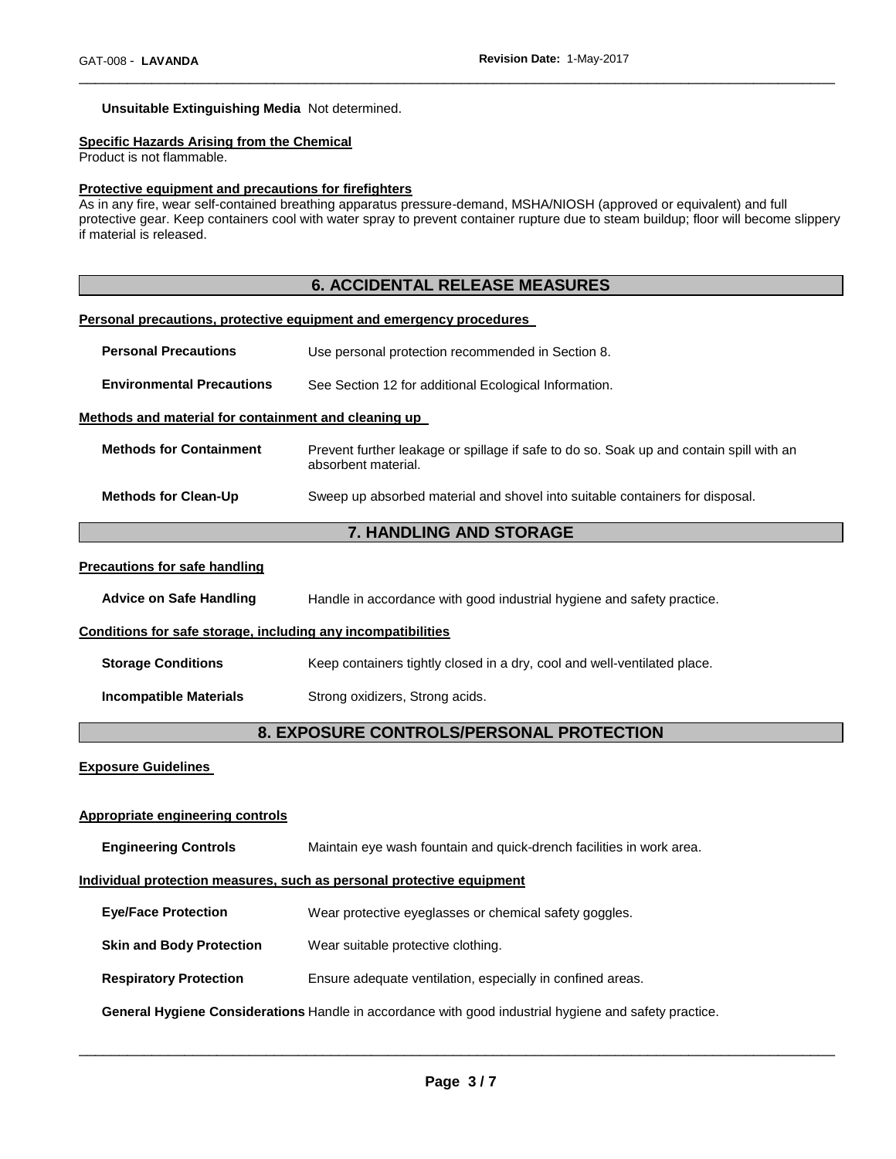## **Unsuitable Extinguishing Media** Not determined.

#### **Specific Hazards Arising from the Chemical**

Product is not flammable.

#### **Protective equipment and precautions for firefighters**

As in any fire, wear self-contained breathing apparatus pressure-demand, MSHA/NIOSH (approved or equivalent) and full protective gear. Keep containers cool with water spray to prevent container rupture due to steam buildup; floor will become slippery if material is released.

\_\_\_\_\_\_\_\_\_\_\_\_\_\_\_\_\_\_\_\_\_\_\_\_\_\_\_\_\_\_\_\_\_\_\_\_\_\_\_\_\_\_\_\_\_\_\_\_\_\_\_\_\_\_\_\_\_\_\_\_\_\_\_\_\_\_\_\_\_\_\_\_\_\_\_\_\_\_\_\_\_\_\_\_\_\_\_\_\_\_\_\_\_

# **6. ACCIDENTAL RELEASE MEASURES Personal precautions, protective equipment and emergency procedures Personal Precautions** Use personal protection recommended in Section 8. **Environmental Precautions** See Section 12 for additional Ecological Information. **Methods and material for containment and cleaning up Methods for Containment** Prevent further leakage or spillage if safe to do so. Soak up and contain spill with an absorbent material. **Methods for Clean-Up** Sweep up absorbed material and shovel into suitable containers for disposal. **7. HANDLING AND STORAGE**

#### **Precautions for safe handling**

**Advice on Safe Handling** Handle in accordance with good industrial hygiene and safety practice.

#### **Conditions for safe storage, including any incompatibilities**

**Storage Conditions Keep containers tightly closed in a dry, cool and well-ventilated place.** 

**Incompatible Materials Strong oxidizers, Strong acids.** 

# **8. EXPOSURE CONTROLS/PERSONAL PROTECTION**

**Exposure Guidelines** 

#### **Appropriate engineering controls**

**Engineering Controls** Maintain eye wash fountain and quick-drench facilities in work area. **Individual protection measures, such as personal protective equipment Eye/Face Protection** Wear protective eyeglasses or chemical safety goggles. **Skin and Body Protection** Wear suitable protective clothing. **Respiratory Protection** Ensure adequate ventilation, especially in confined areas. **General Hygiene Considerations** Handle in accordance with good industrial hygiene and safety practice.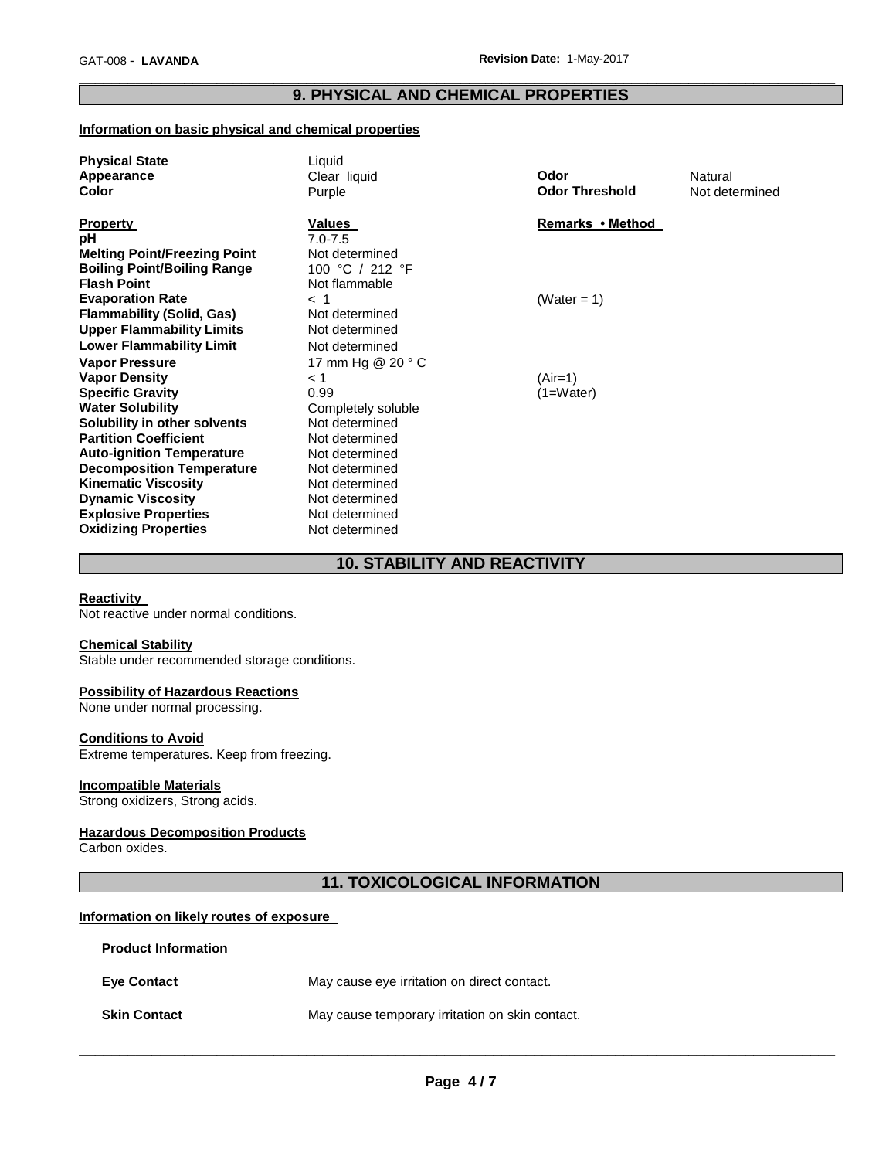# \_\_\_\_\_\_\_\_\_\_\_\_\_\_\_\_\_\_\_\_\_\_\_\_\_\_\_\_\_\_\_\_\_\_\_\_\_\_\_\_\_\_\_\_\_\_\_\_\_\_\_\_\_\_\_\_\_\_\_\_\_\_\_\_\_\_\_\_\_\_\_\_\_\_\_\_\_\_\_\_\_\_\_\_\_\_\_\_\_\_\_\_\_ **9. PHYSICAL AND CHEMICAL PROPERTIES**

# **Information on basic physical and chemical properties**

| <b>Physical State</b>               | Liquid                       |                       |                |
|-------------------------------------|------------------------------|-----------------------|----------------|
| Appearance                          | Clear liquid                 | Odor                  | Natural        |
| <b>Color</b>                        | Purple                       | <b>Odor Threshold</b> | Not determined |
| <b>Property</b>                     | Values                       | Remarks • Method      |                |
| рH                                  | $7.0 - 7.5$                  |                       |                |
| <b>Melting Point/Freezing Point</b> | Not determined               |                       |                |
| <b>Boiling Point/Boiling Range</b>  | 100 °C / 212 °F              |                       |                |
| <b>Flash Point</b>                  | Not flammable                |                       |                |
| <b>Evaporation Rate</b>             | $<$ 1                        | (Water = 1)           |                |
| <b>Flammability (Solid, Gas)</b>    | Not determined               |                       |                |
| <b>Upper Flammability Limits</b>    | Not determined               |                       |                |
| <b>Lower Flammability Limit</b>     | Not determined               |                       |                |
|                                     |                              |                       |                |
| <b>Vapor Pressure</b>               | 17 mm Hg $@$ 20 $^{\circ}$ C |                       |                |
| <b>Vapor Density</b>                | < 1                          | $(Air=1)$             |                |
| <b>Specific Gravity</b>             | 0.99                         | $(1=Water)$           |                |
| <b>Water Solubility</b>             | Completely soluble           |                       |                |
| Solubility in other solvents        | Not determined               |                       |                |
| <b>Partition Coefficient</b>        | Not determined               |                       |                |
| <b>Auto-ignition Temperature</b>    | Not determined               |                       |                |
| <b>Decomposition Temperature</b>    | Not determined               |                       |                |
| <b>Kinematic Viscosity</b>          | Not determined               |                       |                |
| <b>Dynamic Viscosity</b>            | Not determined               |                       |                |
| <b>Explosive Properties</b>         | Not determined               |                       |                |
| <b>Oxidizing Properties</b>         | Not determined               |                       |                |

# **10. STABILITY AND REACTIVITY**

## **Reactivity**

Not reactive under normal conditions.

#### **Chemical Stability**

Stable under recommended storage conditions.

## **Possibility of Hazardous Reactions**

None under normal processing.

#### **Conditions to Avoid**

Extreme temperatures. Keep from freezing.

# **Incompatible Materials**

Strong oxidizers, Strong acids.

# **Hazardous Decomposition Products**

Carbon oxides.

# **11. TOXICOLOGICAL INFORMATION**

# **Information on likely routes of exposure**

| <b>Product Information</b> |                                                 |
|----------------------------|-------------------------------------------------|
| <b>Eye Contact</b>         | May cause eye irritation on direct contact.     |
| <b>Skin Contact</b>        | May cause temporary irritation on skin contact. |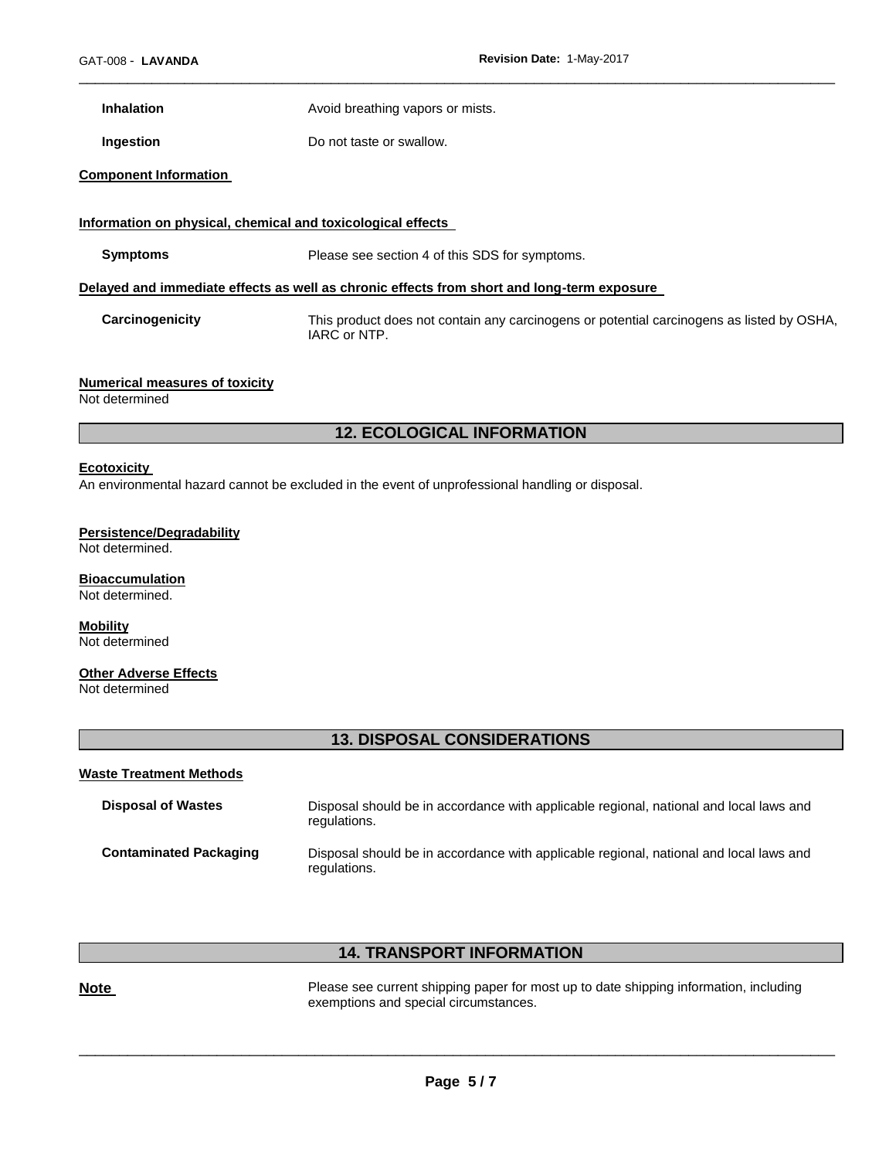**Inhalation Avoid breathing vapors or mists.** 

**Ingestion Do not taste or swallow.** 

### **Component Information**

#### **Information on physical, chemical and toxicological effects**

**Symptoms** Please see section 4 of this SDS for symptoms.

## **Delayed and immediate effects as well as chronic effects from short and long-term exposure**

**Carcinogenicity** This product does not contain any carcinogens or potential carcinogens as listed by OSHA, IARC or NTP.

\_\_\_\_\_\_\_\_\_\_\_\_\_\_\_\_\_\_\_\_\_\_\_\_\_\_\_\_\_\_\_\_\_\_\_\_\_\_\_\_\_\_\_\_\_\_\_\_\_\_\_\_\_\_\_\_\_\_\_\_\_\_\_\_\_\_\_\_\_\_\_\_\_\_\_\_\_\_\_\_\_\_\_\_\_\_\_\_\_\_\_\_\_

## **Numerical measures of toxicity**

Not determined

# **12. ECOLOGICAL INFORMATION**

#### **Ecotoxicity**

An environmental hazard cannot be excluded in the event of unprofessional handling or disposal.

### **Persistence/Degradability**

Not determined.

#### **Bioaccumulation** Not determined.

**Mobility** Not determined

# **Other Adverse Effects**

Not determined

# **13. DISPOSAL CONSIDERATIONS**

#### **Waste Treatment Methods**

| <b>Disposal of Wastes</b>     | Disposal should be in accordance with applicable regional, national and local laws and<br>regulations. |
|-------------------------------|--------------------------------------------------------------------------------------------------------|
| <b>Contaminated Packaging</b> | Disposal should be in accordance with applicable regional, national and local laws and<br>regulations. |

# **14. TRANSPORT INFORMATION**

**Note Please see current shipping paper for most up to date shipping information, including** exemptions and special circumstances.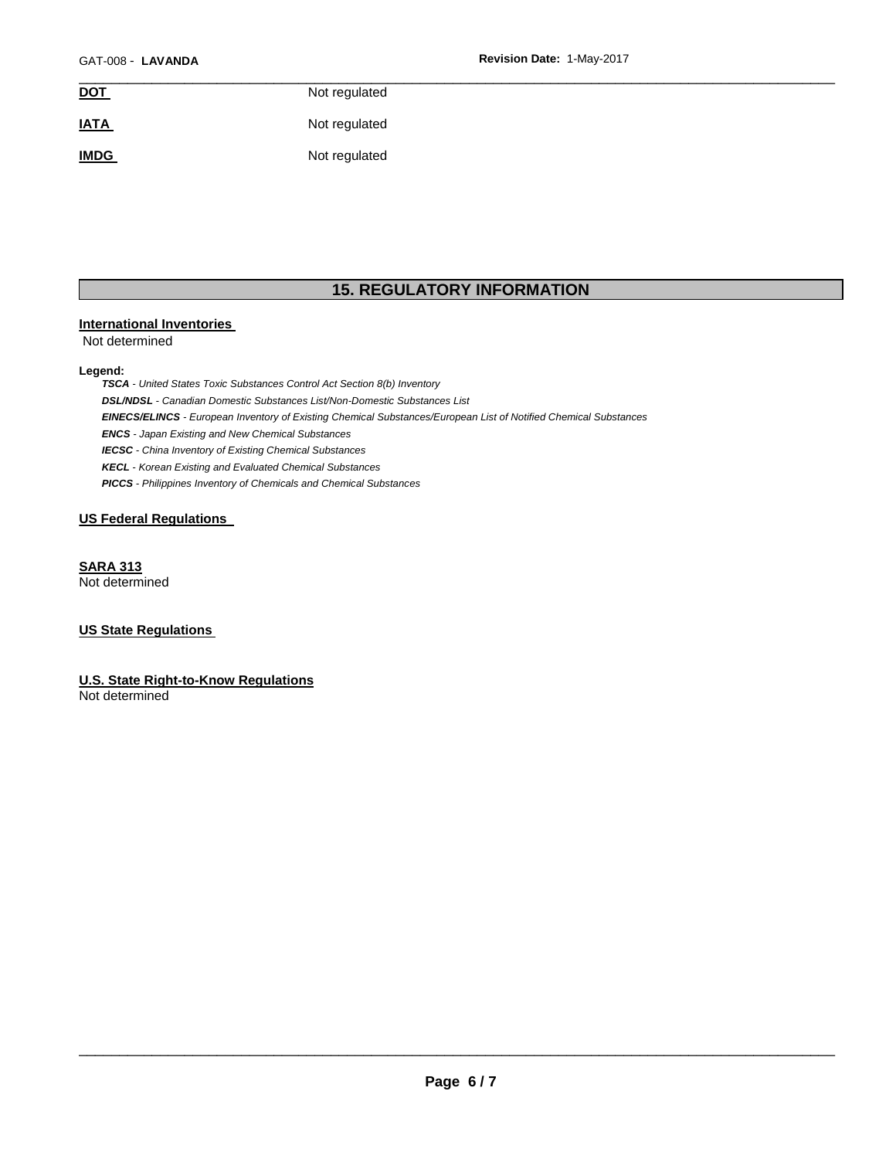| <b>DOT</b>  | Not regulated |  |
|-------------|---------------|--|
| <b>IATA</b> | Not regulated |  |
| <b>IMDG</b> | Not regulated |  |

# **15. REGULATORY INFORMATION**

#### **International Inventories**

Not determined

#### **Legend:**

*TSCA - United States Toxic Substances Control Act Section 8(b) Inventory DSL/NDSL - Canadian Domestic Substances List/Non-Domestic Substances List EINECS/ELINCS - European Inventory of Existing Chemical Substances/European List of Notified Chemical Substances ENCS - Japan Existing and New Chemical Substances IECSC - China Inventory of Existing Chemical Substances KECL - Korean Existing and Evaluated Chemical Substances PICCS - Philippines Inventory of Chemicals and Chemical Substances* 

# **US Federal Regulations**

**SARA 313** Not determined

# **US State Regulations**

**U.S. State Right-to-Know Regulations** Not determined